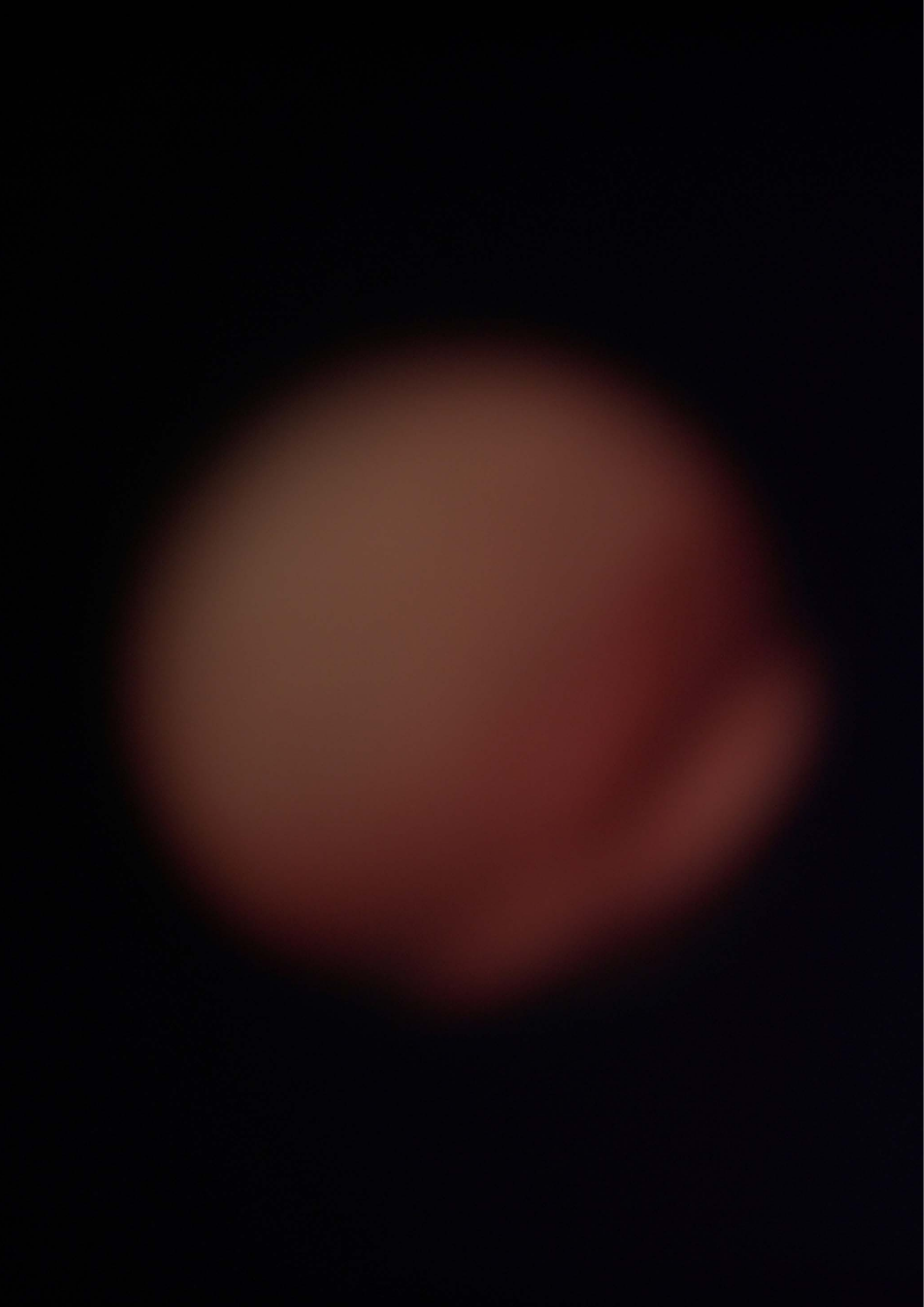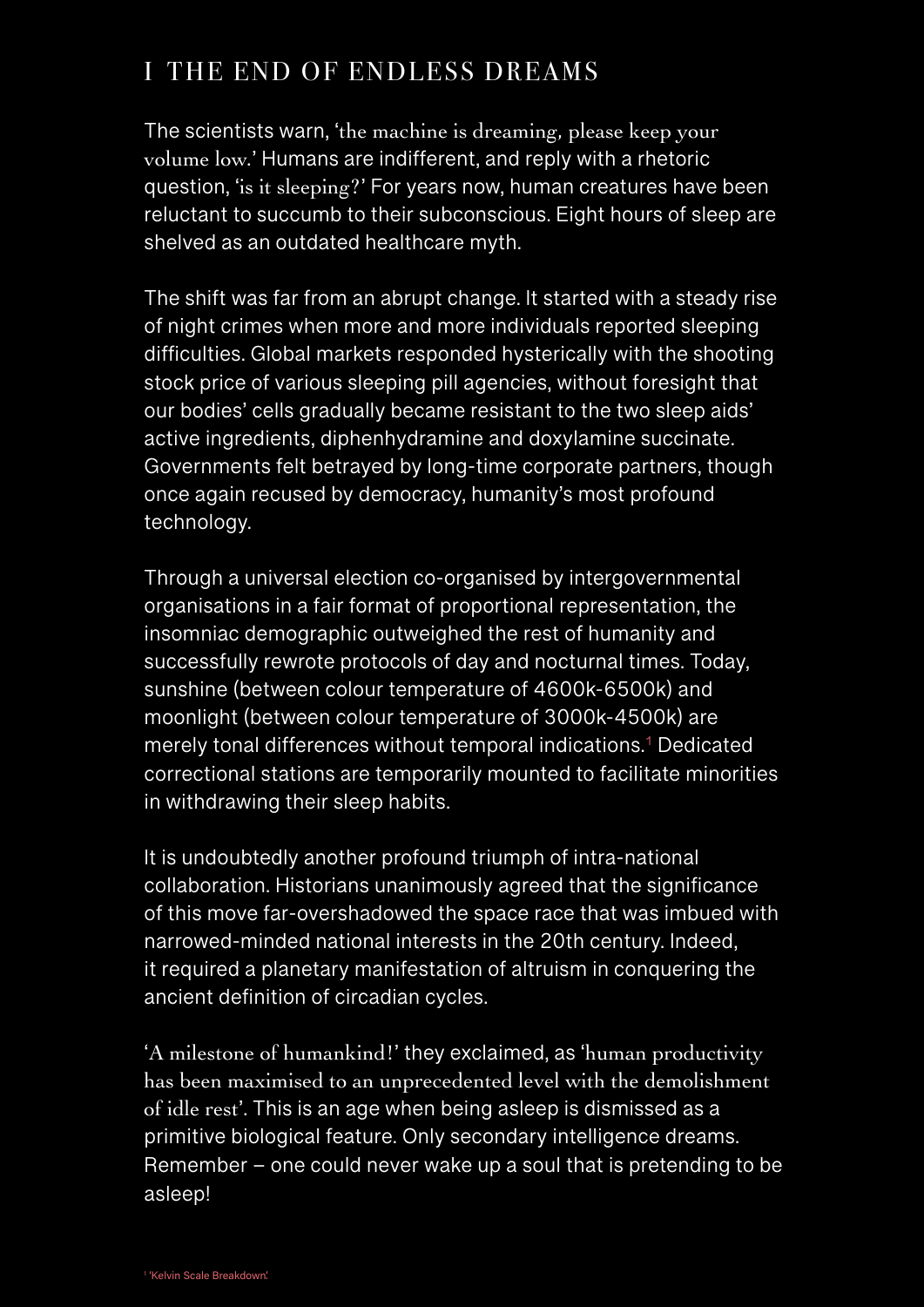# I THE END OF ENDLESS DREAMS

The scientists warn, 'the machine is dreaming, please keep your volume low.' Humans are indifferent, and reply with a rhetoric question, 'is it sleeping?' For years now, human creatures have been reluctant to succumb to their subconscious. Eight hours of sleep are shelved as an outdated healthcare myth.

The shift was far from an abrupt change. It started with a steady rise of night crimes when more and more individuals reported sleeping difficulties. Global markets responded hysterically with the shooting stock price of various sleeping pill agencies, without foresight that our bodies' cells gradually became resistant to the two sleep aids' active ingredients, diphenhydramine and doxylamine succinate. Governments felt betrayed by long-time corporate partners, though once again recused by democracy, humanity's most profound technology.

Through a universal election co-organised by intergovernmental organisations in a fair format of proportional representation, the insomniac demographic outweighed the rest of humanity and successfully rewrote protocols of day and nocturnal times. Today, sunshine (between colour temperature of 4600k-6500k) and moonlight (between colour temperature of 3000k-4500k) are merely tonal differences without temporal indications.<sup>1</sup> Dedicated correctional stations are temporarily mounted to facilitate minorities in withdrawing their sleep habits.

It is undoubtedly another profound triumph of intra-national collaboration. Historians unanimously agreed that the significance of this move far-overshadowed the space race that was imbued with narrowed-minded national interests in the 20th century. Indeed, it required a planetary manifestation of altruism in conquering the ancient definition of circadian cycles.

'A milestone of humankind!' they exclaimed, as 'human productivity has been maximised to an unprecedented level with the demolishment of idle rest'. This is an age when being asleep is dismissed as a primitive biological feature. Only secondary intelligence dreams. Remember – one could never wake up a soul that is pretending to be asleep!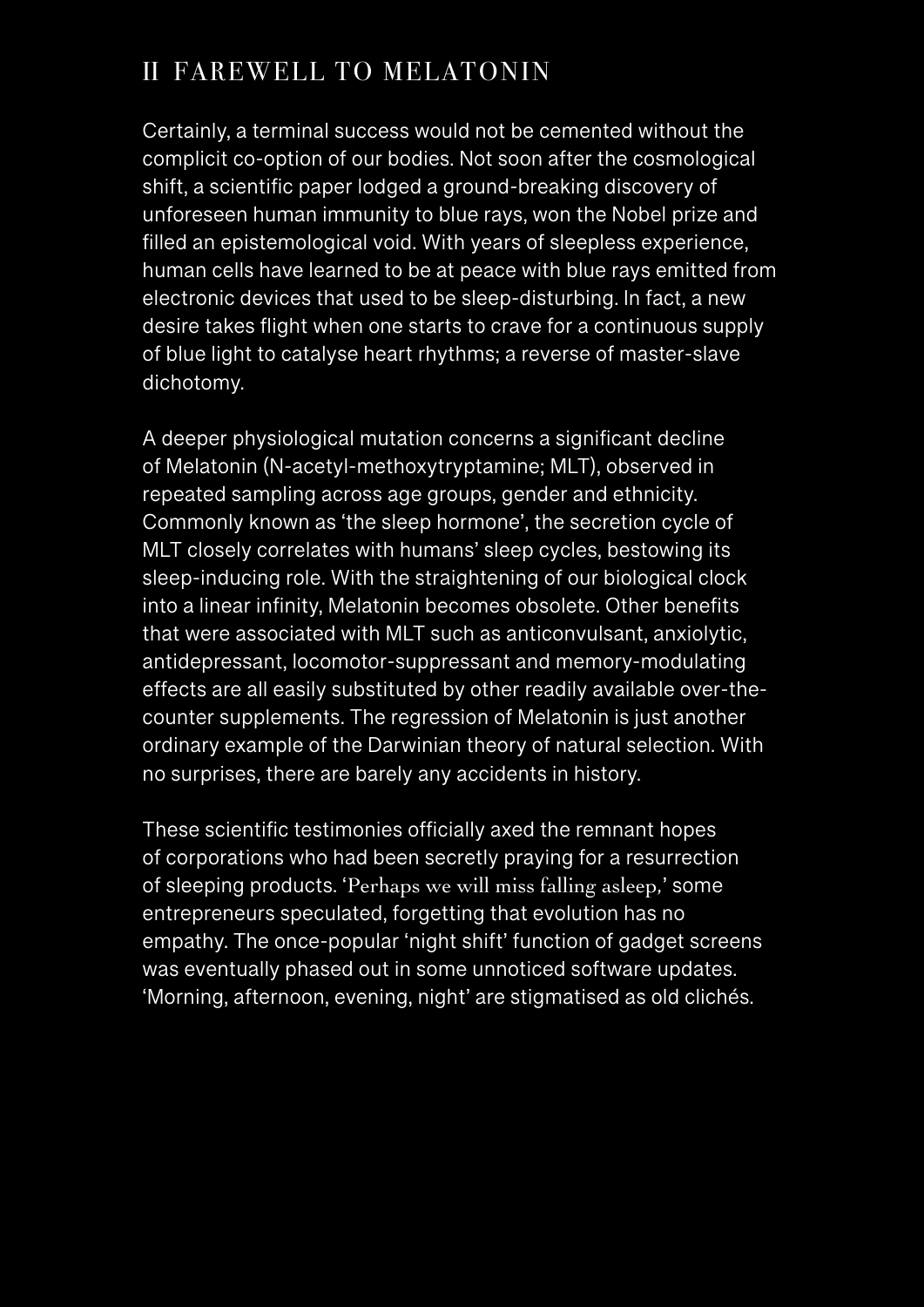### II FAREWELL TO MELATONIN

Certainly, a terminal success would not be cemented without the complicit co-option of our bodies. Not soon after the cosmological shift, a scientific paper lodged a ground-breaking discovery of unforeseen human immunity to blue rays, won the Nobel prize and filled an epistemological void. With years of sleepless experience, human cells have learned to be at peace with blue rays emitted from electronic devices that used to be sleep-disturbing. In fact, a new desire takes flight when one starts to crave for a continuous supply of blue light to catalyse heart rhythms; a reverse of master-slave dichotomy.

A deeper physiological mutation concerns a significant decline of Melatonin (N-acetyl-methoxytryptamine; MLT), observed in repeated sampling across age groups, gender and ethnicity. Commonly known as 'the sleep hormone', the secretion cycle of MLT closely correlates with humans' sleep cycles, bestowing its sleep-inducing role. With the straightening of our biological clock into a linear infinity, Melatonin becomes obsolete. Other benefits that were associated with MLT such as anticonvulsant, anxiolytic, antidepressant, locomotor-suppressant and memory-modulating effects are all easily substituted by other readily available over-thecounter supplements. The regression of Melatonin is just another ordinary example of the Darwinian theory of natural selection. With no surprises, there are barely any accidents in history.

These scientific testimonies officially axed the remnant hopes of corporations who had been secretly praying for a resurrection of sleeping products. 'Perhaps we will miss falling asleep,' some entrepreneurs speculated, forgetting that evolution has no empathy. The once-popular 'night shift' function of gadget screens was eventually phased out in some unnoticed software updates. 'Morning, afternoon, evening, night' are stigmatised as old clichés.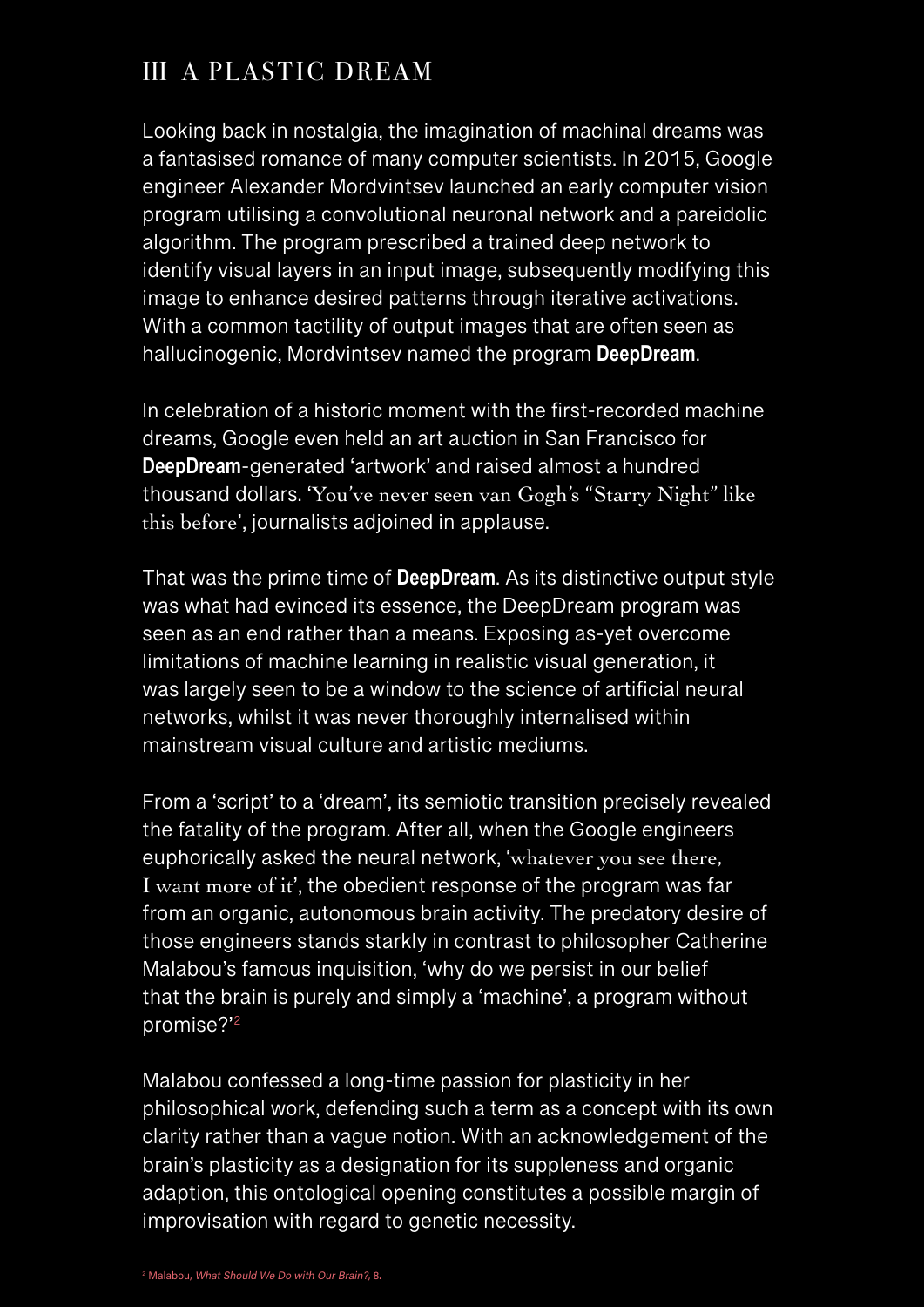### III A PLASTIC DREAM

Looking back in nostalgia, the imagination of machinal dreams was a fantasised romance of many computer scientists. In 2015, Google engineer Alexander Mordvintsev launched an early computer vision program utilising a convolutional neuronal network and a pareidolic algorithm. The program prescribed a trained deep network to identify visual layers in an input image, subsequently modifying this image to enhance desired patterns through iterative activations. With a common tactility of output images that are often seen as hallucinogenic, Mordvintsev named the program **DeepDream**.

In celebration of a historic moment with the first-recorded machine dreams, Google even held an art auction in San Francisco for **DeepDream**-generated 'artwork' and raised almost a hundred thousand dollars. 'You've never seen van Gogh's "Starry Night" like this before', journalists adjoined in applause.

That was the prime time of **DeepDream**. As its distinctive output style was what had evinced its essence, the DeepDream program was seen as an end rather than a means. Exposing as-yet overcome limitations of machine learning in realistic visual generation, it was largely seen to be a window to the science of artificial neural networks, whilst it was never thoroughly internalised within mainstream visual culture and artistic mediums.

From a 'script' to a 'dream', its semiotic transition precisely revealed the fatality of the program. After all, when the Google engineers euphorically asked the neural network, 'whatever you see there, I want more of it', the obedient response of the program was far from an organic, autonomous brain activity. The predatory desire of those engineers stands starkly in contrast to philosopher Catherine Malabou's famous inquisition, 'why do we persist in our belief that the brain is purely and simply a 'machine', a program without promise?'2

Malabou confessed a long-time passion for plasticity in her philosophical work, defending such a term as a concept with its own clarity rather than a vague notion. With an acknowledgement of the brain's plasticity as a designation for its suppleness and organic adaption, this ontological opening constitutes a possible margin of improvisation with regard to genetic necessity.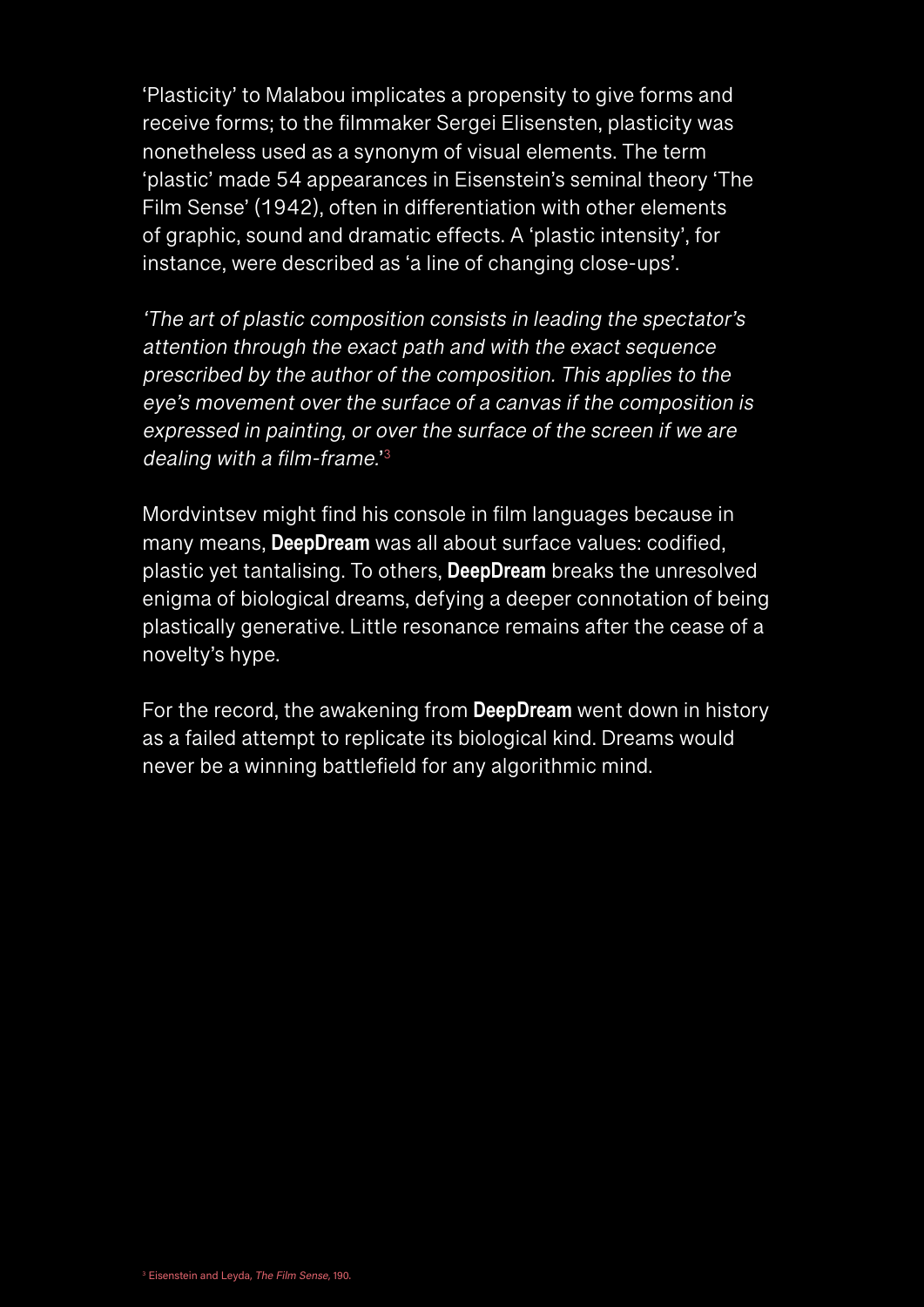'Plasticity' to Malabou implicates a propensity to give forms and receive forms; to the filmmaker Sergei Elisensten, plasticity was nonetheless used as a synonym of visual elements. The term 'plastic' made 54 appearances in Eisenstein's seminal theory 'The Film Sense' (1942), often in differentiation with other elements of graphic, sound and dramatic effects. A 'plastic intensity', for instance, were described as 'a line of changing close-ups'.

'The art of plastic composition consists in leading the spectator's attention through the exact path and with the exact sequence prescribed by the author of the composition. This applies to the eye's movement over the surface of a canvas if the composition is expressed in painting, or over the surface of the screen if we are dealing with a film-frame.' $^3$ 

Mordvintsev might find his console in film languages because in many means, **DeepDream** was all about surface values: codified, plastic yet tantalising. To others, **DeepDream** breaks the unresolved enigma of biological dreams, defying a deeper connotation of being plastically generative. Little resonance remains after the cease of a novelty's hype.

For the record, the awakening from **DeepDream** went down in history as a failed attempt to replicate its biological kind. Dreams would never be a winning battlefield for any algorithmic mind.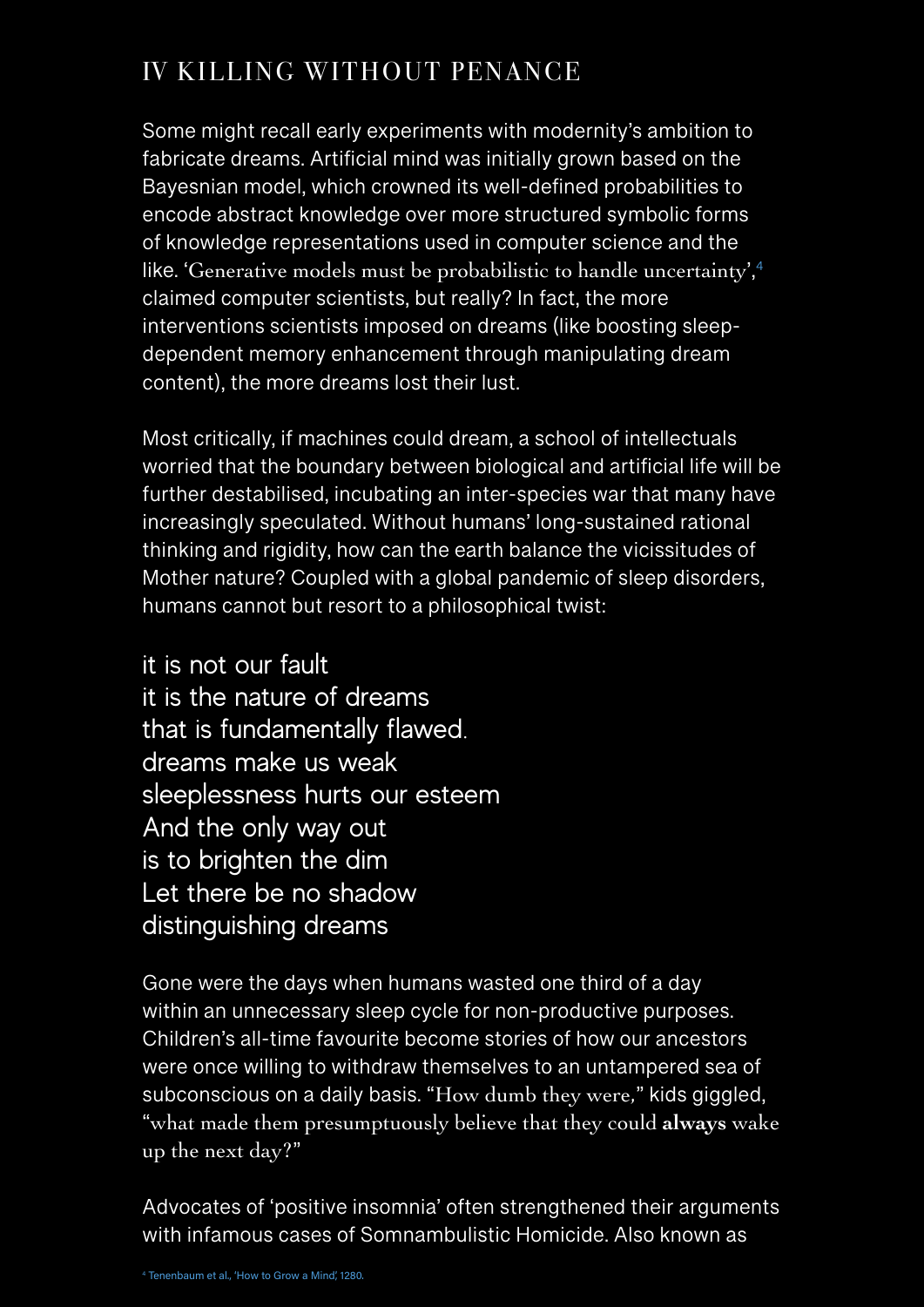# IV KILLING WITHOUT PENANCE

Some might recall early experiments with modernity's ambition to fabricate dreams. Artificial mind was initially grown based on the Bayesnian model, which crowned its well-defined probabilities to encode abstract knowledge over more structured symbolic forms of knowledge representations used in computer science and the like. 'Generative models must be probabilistic to handle uncertainty',<sup>4</sup> claimed computer scientists, but really? In fact, the more interventions scientists imposed on dreams (like boosting sleepdependent memory enhancement through manipulating dream content), the more dreams lost their lust.

Most critically, if machines could dream, a school of intellectuals worried that the boundary between biological and artificial life will be further destabilised, incubating an inter-species war that many have increasingly speculated. Without humans' long-sustained rational thinking and rigidity, how can the earth balance the vicissitudes of Mother nature? Coupled with a global pandemic of sleep disorders, humans cannot but resort to a philosophical twist:

it is not our fault it is the nature of dreams that is fundamentally flawed. dreams make us weak sleeplessness hurts our esteem And the only way out is to brighten the dim Let there be no shadow distinguishing dreams

Gone were the days when humans wasted one third of a day within an unnecessary sleep cycle for non-productive purposes. Children's all-time favourite become stories of how our ancestors were once willing to withdraw themselves to an untampered sea of subconscious on a daily basis. "How dumb they were," kids giggled, "what made them presumptuously believe that they could **always** wake up the next day?"

Advocates of 'positive insomnia' often strengthened their arguments with infamous cases of Somnambulistic Homicide. Also known as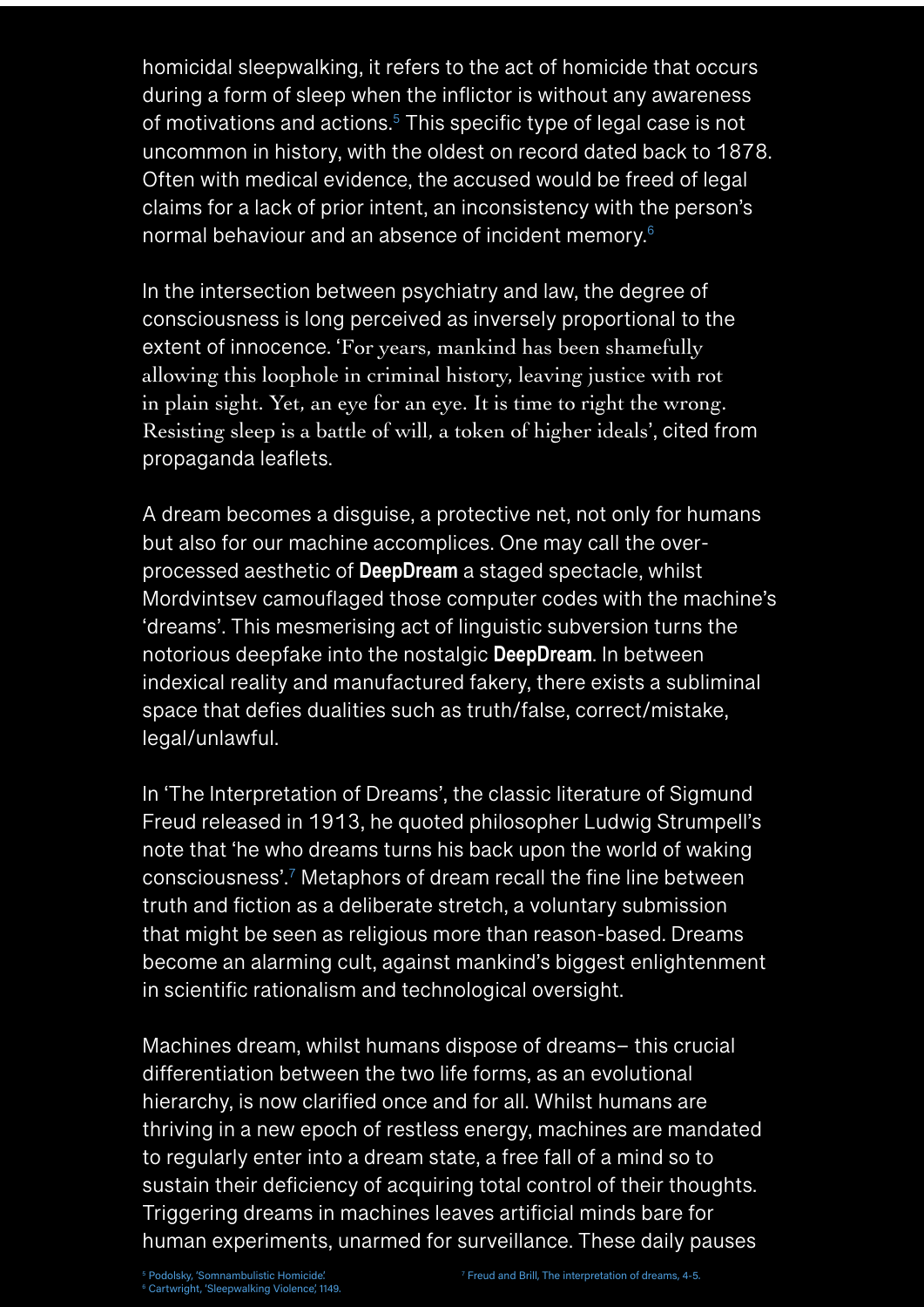homicidal sleepwalking, it refers to the act of homicide that occurs during a form of sleep when the inflictor is without any awareness of motivations and actions.<sup>5</sup> This specific type of legal case is not uncommon in history, with the oldest on record dated back to 1878. Often with medical evidence, the accused would be freed of legal claims for a lack of prior intent, an inconsistency with the person's normal behaviour and an absence of incident memory.<sup>6</sup>

In the intersection between psychiatry and law, the degree of consciousness is long perceived as inversely proportional to the extent of innocence. 'For years, mankind has been shamefully allowing this loophole in criminal history, leaving justice with rot in plain sight. Yet, an eye for an eye. It is time to right the wrong. Resisting sleep is a battle of will, a token of higher ideals', cited from propaganda leaflets.

A dream becomes a disguise, a protective net, not only for humans but also for our machine accomplices. One may call the overprocessed aesthetic of **DeepDream** a staged spectacle, whilst Mordvintsev camouflaged those computer codes with the machine's 'dreams'. This mesmerising act of linguistic subversion turns the notorious deepfake into the nostalgic **DeepDream**. In between indexical reality and manufactured fakery, there exists a subliminal space that defies dualities such as truth/false, correct/mistake, legal/unlawful.

In 'The Interpretation of Dreams', the classic literature of Sigmund Freud released in 1913, he quoted philosopher Ludwig Strumpell's note that 'he who dreams turns his back upon the world of waking consciousness'.7 Metaphors of dream recall the fine line between truth and fiction as a deliberate stretch, a voluntary submission that might be seen as religious more than reason-based. Dreams become an alarming cult, against mankind's biggest enlightenment in scientific rationalism and technological oversight.

Machines dream, whilst humans dispose of dreams– this crucial differentiation between the two life forms, as an evolutional hierarchy, is now clarified once and for all. Whilst humans are thriving in a new epoch of restless energy, machines are mandated to regularly enter into a dream state, a free fall of a mind so to sustain their deficiency of acquiring total control of their thoughts. Triggering dreams in machines leaves artificial minds bare for human experiments, unarmed for surveillance. These daily pauses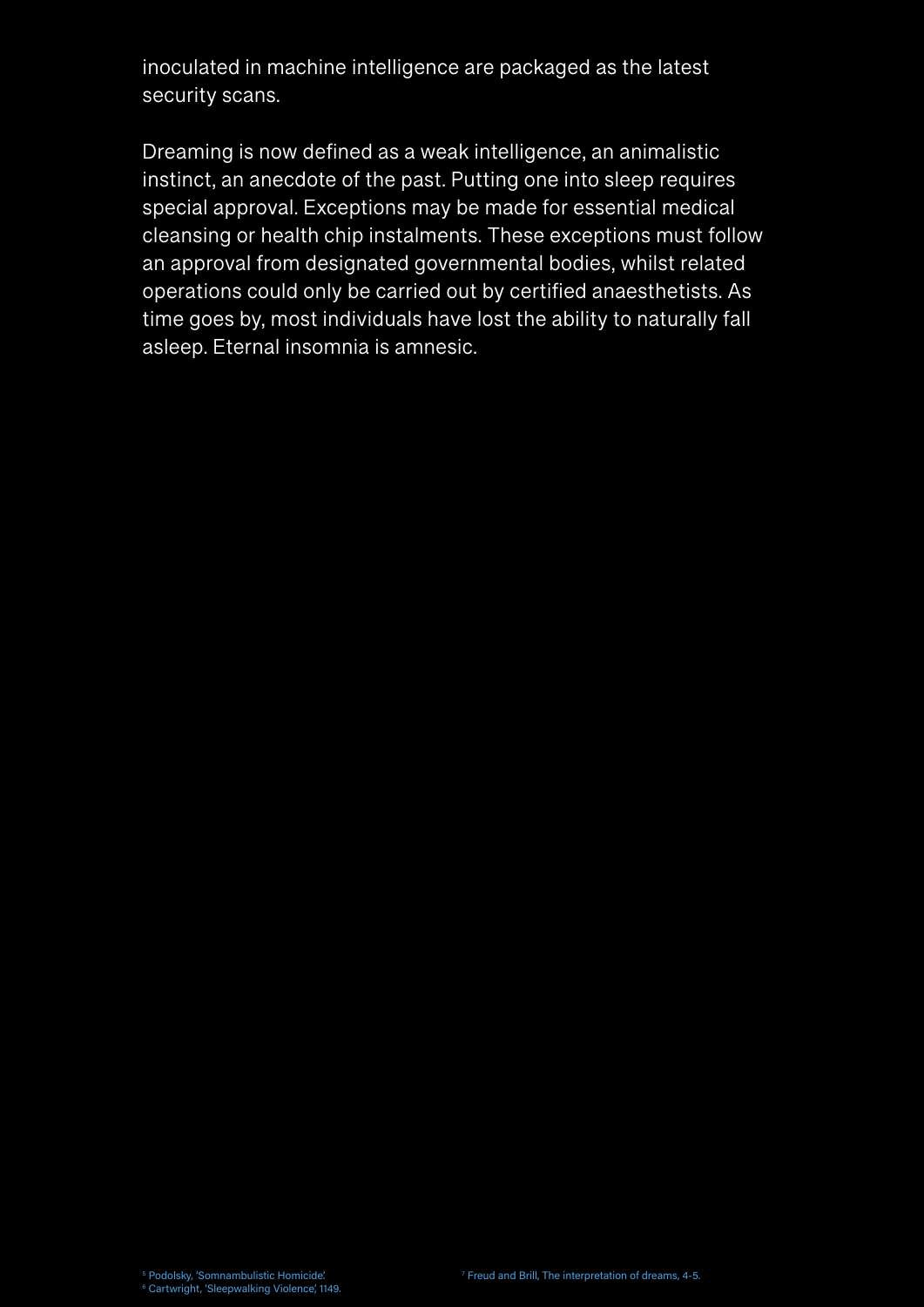inoculated in machine intelligence are packaged as the latest security scans.

Dreaming is now defined as a weak intelligence, an animalistic instinct, an anecdote of the past. Putting one into sleep requires special approval. Exceptions may be made for essential medical cleansing or health chip instalments. These exceptions must follow an approval from designated governmental bodies, whilst related operations could only be carried out by certified anaesthetists. As time goes by, most individuals have lost the ability to naturally fall asleep. Eternal insomnia is amnesic.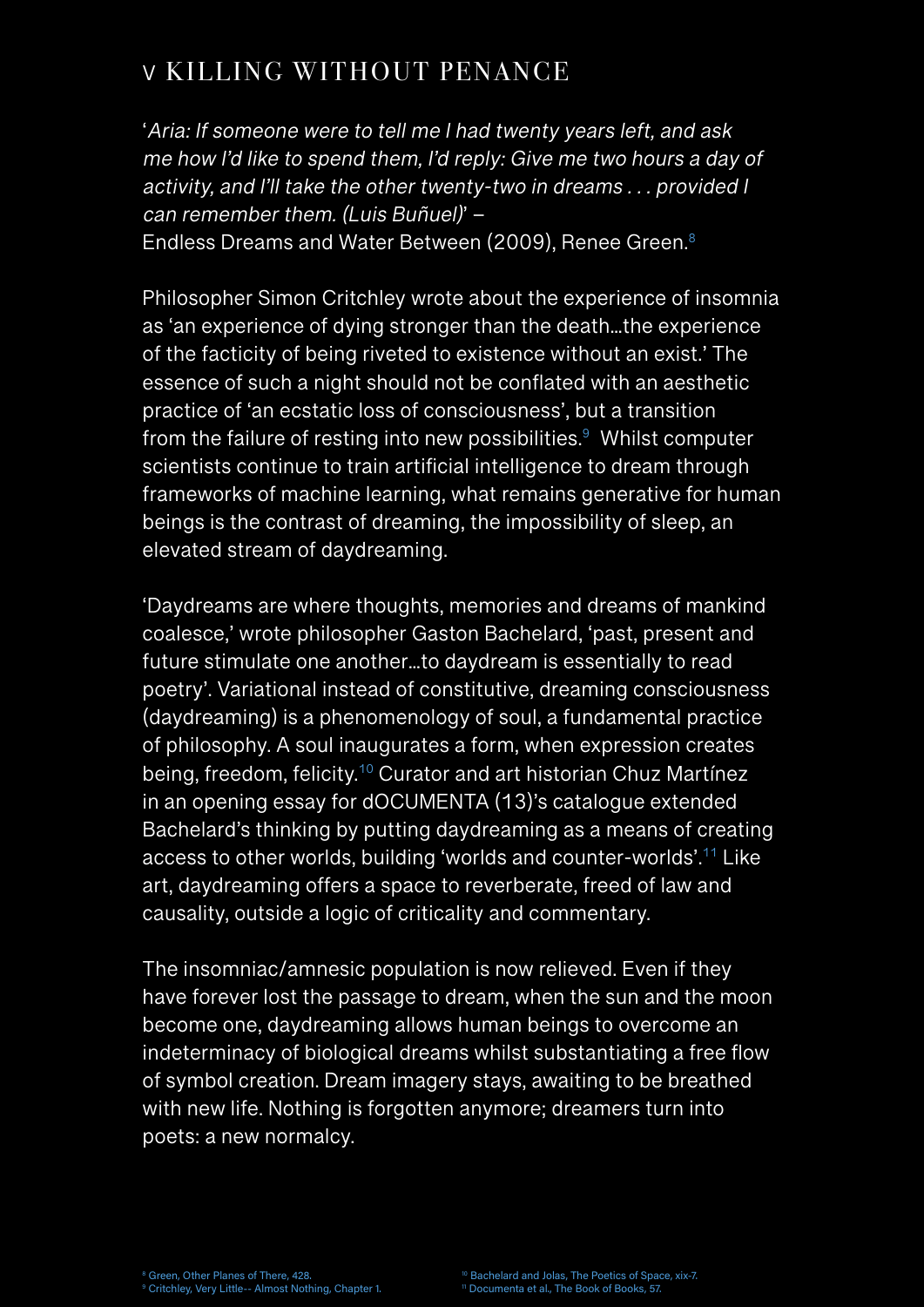#### <sup>V</sup> KILLING WITHOUT PENANCE

'Aria: If someone were to tell me I had twenty years left, and ask me how I'd like to spend them, I'd reply: Give me two hours a day of activity, and I'll take the other twenty-two in dreams . . . provided I can remember them. (Luis Buñuel)' – Endless Dreams and Water Between (2009), Renee Green.<sup>8</sup>

Philosopher Simon Critchley wrote about the experience of insomnia as 'an experience of dying stronger than the death…the experience of the facticity of being riveted to existence without an exist.' The essence of such a night should not be conflated with an aesthetic practice of 'an ecstatic loss of consciousness', but a transition from the failure of resting into new possibilities.<sup>9</sup> Whilst computer scientists continue to train artificial intelligence to dream through frameworks of machine learning, what remains generative for human beings is the contrast of dreaming, the impossibility of sleep, an elevated stream of daydreaming.

'Daydreams are where thoughts, memories and dreams of mankind coalesce,' wrote philosopher Gaston Bachelard, 'past, present and future stimulate one another…to daydream is essentially to read poetry'. Variational instead of constitutive, dreaming consciousness (daydreaming) is a phenomenology of soul, a fundamental practice of philosophy. A soul inaugurates a form, when expression creates being, freedom, felicity.<sup>10</sup> Curator and art historian Chuz Martínez in an opening essay for dOCUMENTA (13)'s catalogue extended Bachelard's thinking by putting daydreaming as a means of creating access to other worlds, building 'worlds and counter-worlds'.<sup>11</sup> Like art, daydreaming offers a space to reverberate, freed of law and causality, outside a logic of criticality and commentary.

The insomniac/amnesic population is now relieved. Even if they have forever lost the passage to dream, when the sun and the moon become one, daydreaming allows human beings to overcome an indeterminacy of biological dreams whilst substantiating a free flow of symbol creation. Dream imagery stays, awaiting to be breathed with new life. Nothing is forgotten anymore; dreamers turn into poets: a new normalcy.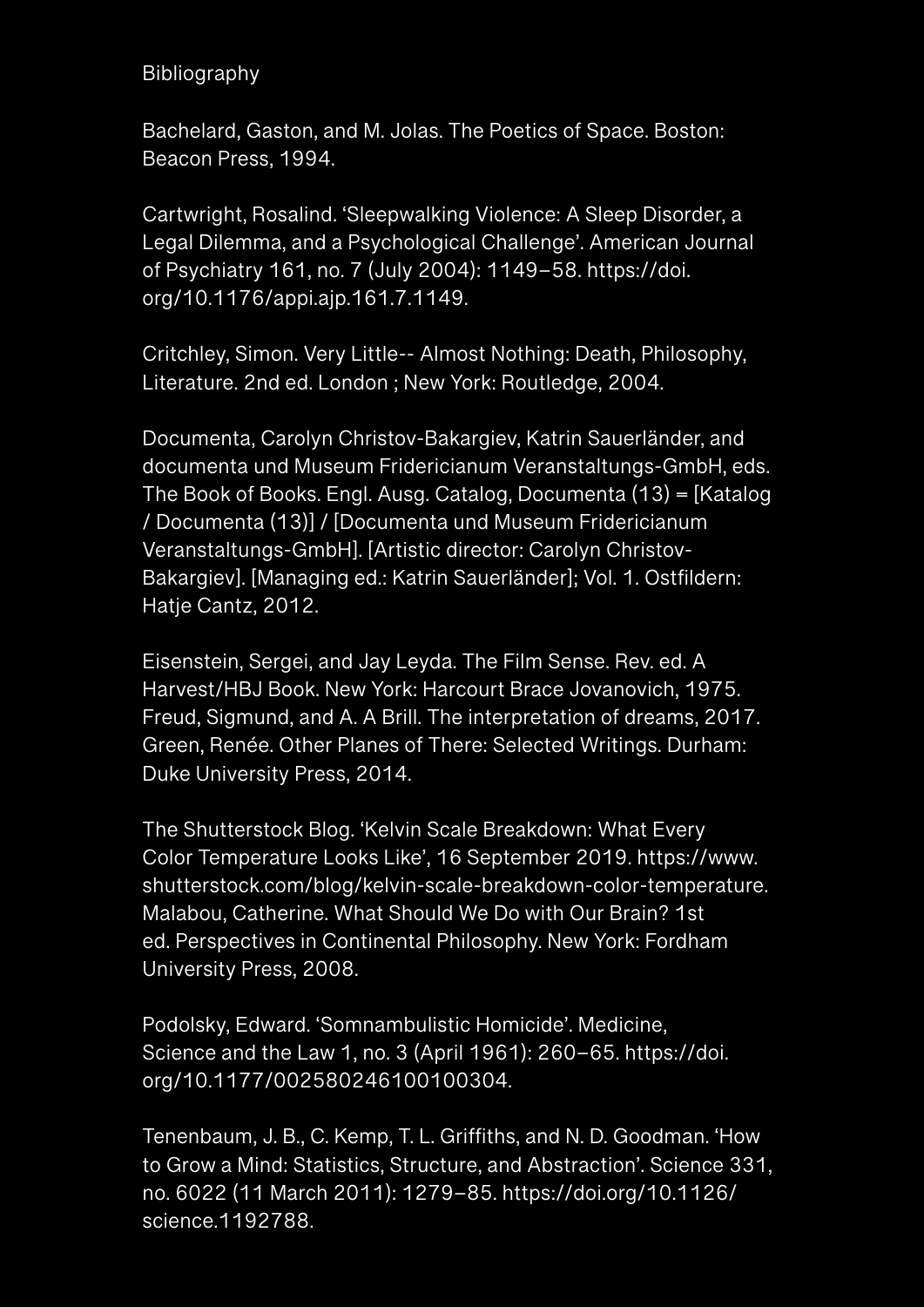Bibliography

Bachelard, Gaston, and M. Jolas. The Poetics of Space. Boston: Beacon Press, 1994.

Cartwright, Rosalind. 'Sleepwalking Violence: A Sleep Disorder, a Legal Dilemma, and a Psychological Challenge'. American Journal of Psychiatry 161, no. 7 (July 2004): 1149–58. https://doi. org/10.1176/appi.ajp.161.7.1149.

Critchley, Simon. Very Little-- Almost Nothing: Death, Philosophy, Literature. 2nd ed. London ; New York: Routledge, 2004.

Documenta, Carolyn Christov-Bakargiev, Katrin Sauerländer, and documenta und Museum Fridericianum Veranstaltungs-GmbH, eds. The Book of Books. Engl. Ausg. Catalog, Documenta (13) = [Katalog / Documenta (13)] / [Documenta und Museum Fridericianum Veranstaltungs-GmbH]. [Artistic director: Carolyn Christov-Bakargiev]. [Managing ed.: Katrin Sauerländer]; Vol. 1. Ostfildern: Hatje Cantz, 2012.

Eisenstein, Sergei, and Jay Leyda. The Film Sense. Rev. ed. A Harvest/HBJ Book. New York: Harcourt Brace Jovanovich, 1975. Freud, Sigmund, and A. A Brill. The interpretation of dreams, 2017. Green, Renée. Other Planes of There: Selected Writings. Durham: Duke University Press, 2014.

The Shutterstock Blog. 'Kelvin Scale Breakdown: What Every Color Temperature Looks Like', 16 September 2019. https://www. shutterstock.com/blog/kelvin-scale-breakdown-color-temperature. Malabou, Catherine. What Should We Do with Our Brain? 1st ed. Perspectives in Continental Philosophy. New York: Fordham University Press, 2008.

Podolsky, Edward. 'Somnambulistic Homicide'. Medicine, Science and the Law 1, no. 3 (April 1961): 260–65. https://doi. org/10.1177/002580246100100304.

Tenenbaum, J. B., C. Kemp, T. L. Griffiths, and N. D. Goodman. 'How to Grow a Mind: Statistics, Structure, and Abstraction'. Science 331, no. 6022 (11 March 2011): 1279–85. https://doi.org/10.1126/ science.1192788.